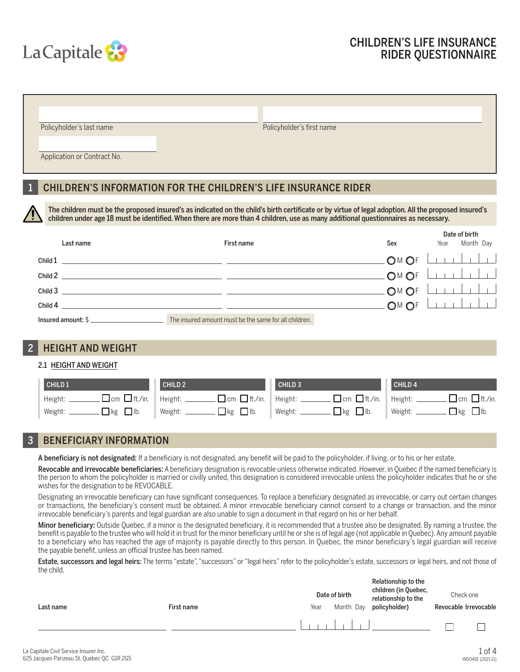

| Policyholder's first name                                                                                                                                                                                                                                                                  |                                                                       |
|--------------------------------------------------------------------------------------------------------------------------------------------------------------------------------------------------------------------------------------------------------------------------------------------|-----------------------------------------------------------------------|
|                                                                                                                                                                                                                                                                                            |                                                                       |
|                                                                                                                                                                                                                                                                                            |                                                                       |
|                                                                                                                                                                                                                                                                                            |                                                                       |
| The children must be the proposed insured's as indicated on the child's birth certificate or by virtue of legal adoption. All the proposed insured's<br>children under age 18 must be identified. When there are more than 4 children, use as many additional questionnaires as necessary. |                                                                       |
| Sex                                                                                                                                                                                                                                                                                        | Date of birth<br>Month Day<br>Year                                    |
| OM OF                                                                                                                                                                                                                                                                                      |                                                                       |
| OM OF                                                                                                                                                                                                                                                                                      |                                                                       |
| OM O                                                                                                                                                                                                                                                                                       |                                                                       |
|                                                                                                                                                                                                                                                                                            | <b>CHILDREN'S INFORMATION FOR THE CHILDREN'S LIFE INSURANCE RIDER</b> |

Child 4 M F

Insured amount: \$

## 2 HEIGHT AND WEIGHT

### 2.1 HEIGHT AND WEIGHT

| CHILD <sub>1</sub>                                               | CHILD <sub>2</sub> | CHILD <sub>3</sub>                                                           | CHILD <sub>4</sub>                                    |
|------------------------------------------------------------------|--------------------|------------------------------------------------------------------------------|-------------------------------------------------------|
| $\Box$ cm $\Box$ ft./in.   Height: $\Box$<br>$^+$ Height: ______ |                    | $\Box$ cm $\Box$ ft./in.   Height: $\Box$ $\Box$ cm $\Box$ ft./in.   Height: | $\Box$ cm $\Box$ ft./in.                              |
| $\Box$ kg $\Box$ lb.<br>Weight:                                  |                    | Weight: $\Box$ kg $\Box$ lb.                                                 | $\Box$ kg $\Box$ lb.<br>$\parallel$ Weight: $\_\perp$ |

# 3 BENEFICIARY INFORMATION

A beneficiary is not designated: If a beneficiary is not designated, any benefit will be paid to the policyholder, if living, or to his or her estate.

Revocable and irrevocable beneficiaries: A beneficiary designation is revocable unless otherwise indicated. However, in Quebec if the named beneficiary is the person to whom the policyholder is married or civilly united, this designation is considered irrevocable unless the policyholder indicates that he or she wishes for the designation to be REVOCABLE.

Designating an irrevocable beneficiary can have significant consequences. To replace a beneficiary designated as irrevocable, or carry out certain changes or transactions, the beneficiary's consent must be obtained. A minor irrevocable beneficiary cannot consent to a change or transaction, and the minor irrevocable beneficiary's parents and legal guardian are also unable to sign a document in that regard on his or her behalf.

Minor beneficiary: Outside Quebec, if a minor is the designated beneficiary, it is recommended that a trustee also be designated. By naming a trustee, the benefit is payable to the trustee who will hold it in trust for the minor beneficiary until he or she is of legal age (not applicable in Quebec). Any amount payable to a beneficiary who has reached the age of majority is payable directly to this person. In Quebec, the minor beneficiary's legal guardian will receive the payable benefit, unless an official trustee has been named.

Estate, successors and legal heirs: The terms "estate", "successors" or "legal heirs" refer to the policyholder's estate, successors or legal heirs, and not those of the child.

| Last name | First name | Date of birth<br>Month Day<br>Year |  | Relationship to the<br>children (in Quebec,<br>relationship to the<br>policyholder) | Check one<br>Revocable Irrevocable |  |
|-----------|------------|------------------------------------|--|-------------------------------------------------------------------------------------|------------------------------------|--|
|           |            |                                    |  |                                                                                     |                                    |  |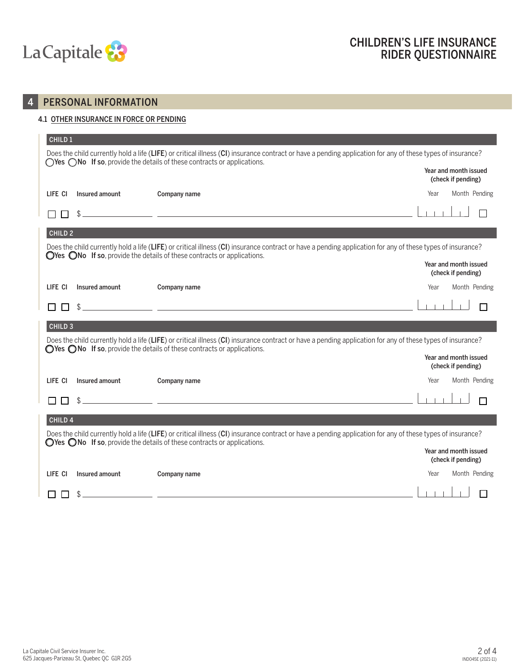

# 4 PERSONAL INFORMATION

### 4.1 OTHER INSURANCE IN FORCE OR PENDING

| CHILD <sub>1</sub> |                | Does the child currently hold a life (LIFE) or critical illness (CI) insurance contract or have a pending application for any of these types of insurance?                                                                                                |                                             |
|--------------------|----------------|-----------------------------------------------------------------------------------------------------------------------------------------------------------------------------------------------------------------------------------------------------------|---------------------------------------------|
|                    |                | $\bigcirc$ Yes $\bigcirc$ No If so, provide the details of these contracts or applications.                                                                                                                                                               | Year and month issued<br>(check if pending) |
| LIFE CI            | Insured amount | Company name                                                                                                                                                                                                                                              | Month Pending<br>Year                       |
|                    |                | <u> 1989 - Johann John Stone, mars eta inperiodo eta inperiodo eta inperiodo eta inperiodo eta inperiodo eta inp</u>                                                                                                                                      |                                             |
| CHILD <sub>2</sub> |                |                                                                                                                                                                                                                                                           |                                             |
|                    |                | Does the child currently hold a life (LIFE) or critical illness (CI) insurance contract or have a pending application for any of these types of insurance?<br>$\bigcirc$ Yes $\bigcirc$ No If so, provide the details of these contracts or applications. |                                             |
|                    |                |                                                                                                                                                                                                                                                           | Year and month issued<br>(check if pending) |
| LIFE CI            | Insured amount | Company name                                                                                                                                                                                                                                              | Month Pending<br>Year                       |
|                    |                | <u> 1989 - Andrea Santa Galileo, ann an t-Ann an t-Ann an t-Ann an t-Ann an t-Ann an t-Ann an t-Ann an t-Ann an t-</u>                                                                                                                                    |                                             |
| CHILD <sub>3</sub> |                |                                                                                                                                                                                                                                                           |                                             |
|                    |                | Does the child currently hold a life (LIFE) or critical illness (CI) insurance contract or have a pending application for any of these types of insurance?<br>$\bigcirc$ Yes $\bigcirc$ No If so, provide the details of these contracts or applications. |                                             |
|                    |                |                                                                                                                                                                                                                                                           | Year and month issued<br>(check if pending) |
| LIFE CI            | Insured amount | Company name                                                                                                                                                                                                                                              | Month Pending<br>Year                       |
|                    |                | <u> 1989 - Johann John Stone, markin film yn y brening yn y brening yn y brening yn y brening yn y brening yn y b</u>                                                                                                                                     |                                             |
| CHILD <sub>4</sub> |                |                                                                                                                                                                                                                                                           |                                             |
|                    |                | Does the child currently hold a life (LIFE) or critical illness (CI) insurance contract or have a pending application for any of these types of insurance?<br>$\bigcirc$ Yes $\bigcirc$ No If so, provide the details of these contracts or applications. |                                             |
|                    |                |                                                                                                                                                                                                                                                           | Year and month issued<br>(check if pending) |
| LIFE CI            | Insured amount | Company name                                                                                                                                                                                                                                              | Year<br>Month Pending                       |
|                    | \$             |                                                                                                                                                                                                                                                           |                                             |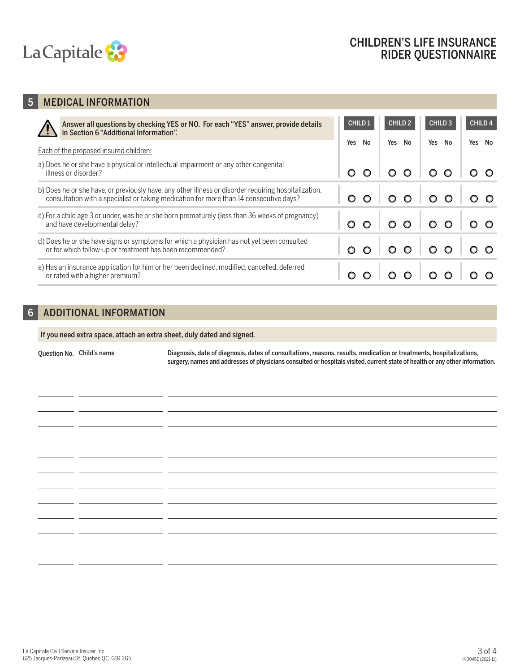

# 5 MEDICAL INFORMATION

| Answer all questions by checking YES or NO. For each "YES" answer, provide details in Section 6 "Additional Information".                                                                      | CHILD 1   | CHILD <sub>2</sub> | <b>CHILD 3</b>            | <b>CHILD 4</b> |
|------------------------------------------------------------------------------------------------------------------------------------------------------------------------------------------------|-----------|--------------------|---------------------------|----------------|
| Each of the proposed insured children:                                                                                                                                                         | Yes<br>No | Yes<br>No          | Yes<br>No                 | Yes No         |
| a) Does he or she have a physical or intellectual impairment or any other congenital<br>illness or disorder?                                                                                   |           |                    | 00000                     |                |
| b) Does he or she have, or previously have, any other illness or disorder requiring hospitalization,<br>consultation with a specialist or taking medication for more than 14 consecutive days? |           |                    | $\circ \circ \circ \circ$ |                |
| c) For a child age 3 or under, was he or she born prematurely (less than 36 weeks of pregnancy)<br>and have developmental delay?                                                               |           |                    | 0 0 0 0 0 0 0 0           |                |
| d) Does he or she have signs or symptoms for which a physician has not yet been consulted<br>or for which follow-up or treatment has been recommended?                                         |           |                    | 00 00 00                  |                |
| e) Has an insurance application for him or her been declined, modified, cancelled, deferred<br>or rated with a higher premium?                                                                 |           | $\circ$            | $\circ$ $\circ$           |                |

## 6 ADDITIONAL INFORMATION

J.  $\sim$ 

 $\overline{a}$ 

 $\overline{a}$ 

If you need extra space, attach an extra sheet, duly dated and signed.

Question No. Child's name Diagnosis, date of diagnosis, dates of consultations, reasons, results, medication or treatments, hospitalizations, surgery, names and addresses of physicians consulted or hospitals visited, current state of health or any other information.